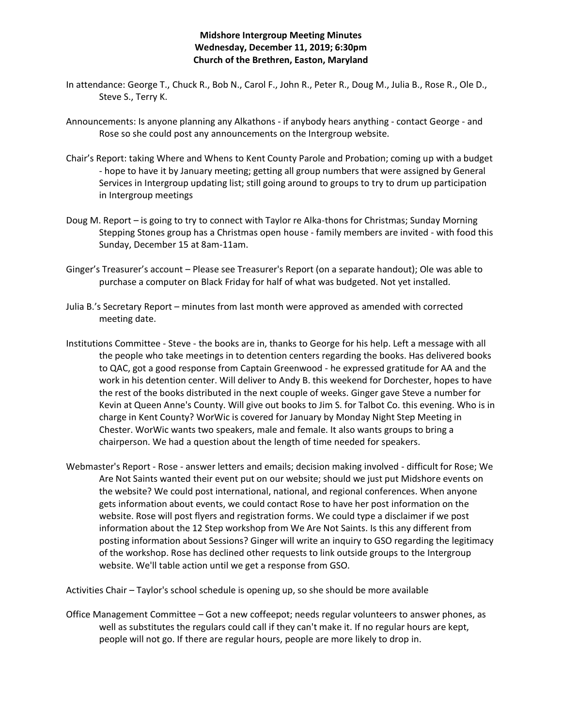## **Midshore Intergroup Meeting Minutes Wednesday, December 11, 2019; 6:30pm Church of the Brethren, Easton, Maryland**

- In attendance: George T., Chuck R., Bob N., Carol F., John R., Peter R., Doug M., Julia B., Rose R., Ole D., Steve S., Terry K.
- Announcements: Is anyone planning any Alkathons if anybody hears anything contact George and Rose so she could post any announcements on the Intergroup website.
- Chair's Report: taking Where and Whens to Kent County Parole and Probation; coming up with a budget - hope to have it by January meeting; getting all group numbers that were assigned by General Services in Intergroup updating list; still going around to groups to try to drum up participation in Intergroup meetings
- Doug M. Report is going to try to connect with Taylor re Alka-thons for Christmas; Sunday Morning Stepping Stones group has a Christmas open house - family members are invited - with food this Sunday, December 15 at 8am-11am.
- Ginger's Treasurer's account Please see Treasurer's Report (on a separate handout); Ole was able to purchase a computer on Black Friday for half of what was budgeted. Not yet installed.
- Julia B.'s Secretary Report minutes from last month were approved as amended with corrected meeting date.
- Institutions Committee Steve the books are in, thanks to George for his help. Left a message with all the people who take meetings in to detention centers regarding the books. Has delivered books to QAC, got a good response from Captain Greenwood - he expressed gratitude for AA and the work in his detention center. Will deliver to Andy B. this weekend for Dorchester, hopes to have the rest of the books distributed in the next couple of weeks. Ginger gave Steve a number for Kevin at Queen Anne's County. Will give out books to Jim S. for Talbot Co. this evening. Who is in charge in Kent County? WorWic is covered for January by Monday Night Step Meeting in Chester. WorWic wants two speakers, male and female. It also wants groups to bring a chairperson. We had a question about the length of time needed for speakers.
- Webmaster's Report Rose answer letters and emails; decision making involved difficult for Rose; We Are Not Saints wanted their event put on our website; should we just put Midshore events on the website? We could post international, national, and regional conferences. When anyone gets information about events, we could contact Rose to have her post information on the website. Rose will post flyers and registration forms. We could type a disclaimer if we post information about the 12 Step workshop from We Are Not Saints. Is this any different from posting information about Sessions? Ginger will write an inquiry to GSO regarding the legitimacy of the workshop. Rose has declined other requests to link outside groups to the Intergroup website. We'll table action until we get a response from GSO.

Activities Chair – Taylor's school schedule is opening up, so she should be more available

Office Management Committee – Got a new coffeepot; needs regular volunteers to answer phones, as well as substitutes the regulars could call if they can't make it. If no regular hours are kept, people will not go. If there are regular hours, people are more likely to drop in.